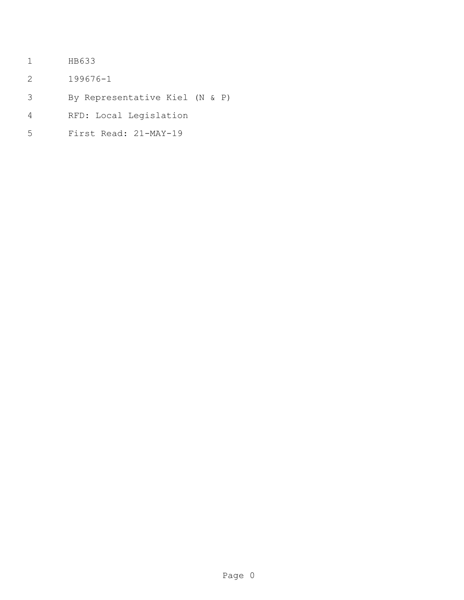- HB633
- 199676-1
- By Representative Kiel (N & P)
- RFD: Local Legislation
- First Read: 21-MAY-19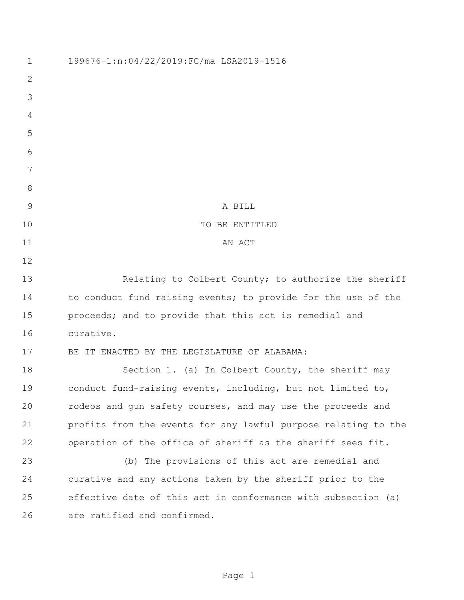| $\mathbf 1$   | 199676-1:n:04/22/2019:FC/ma LSA2019-1516                       |
|---------------|----------------------------------------------------------------|
| $\mathbf{2}$  |                                                                |
| 3             |                                                                |
| 4             |                                                                |
| 5             |                                                                |
| 6             |                                                                |
| 7             |                                                                |
| 8             |                                                                |
| $\mathcal{G}$ | A BILL                                                         |
| 10            | TO BE ENTITLED                                                 |
| 11            | AN ACT                                                         |
| 12            |                                                                |
| 13            | Relating to Colbert County; to authorize the sheriff           |
| 14            | to conduct fund raising events; to provide for the use of the  |
| 15            | proceeds; and to provide that this act is remedial and         |
| 16            | curative.                                                      |
| 17            | IT ENACTED BY THE LEGISLATURE OF ALABAMA:<br>BE.               |
| 18            | Section 1. (a) In Colbert County, the sheriff may              |
| 19            | conduct fund-raising events, including, but not limited to,    |
| 20            | rodeos and gun safety courses, and may use the proceeds and    |
| 21            | profits from the events for any lawful purpose relating to the |
| 22            | operation of the office of sheriff as the sheriff sees fit.    |
| 23            | (b) The provisions of this act are remedial and                |
| 24            | curative and any actions taken by the sheriff prior to the     |
| 25            | effective date of this act in conformance with subsection (a)  |
| 26            | are ratified and confirmed.                                    |
|               |                                                                |